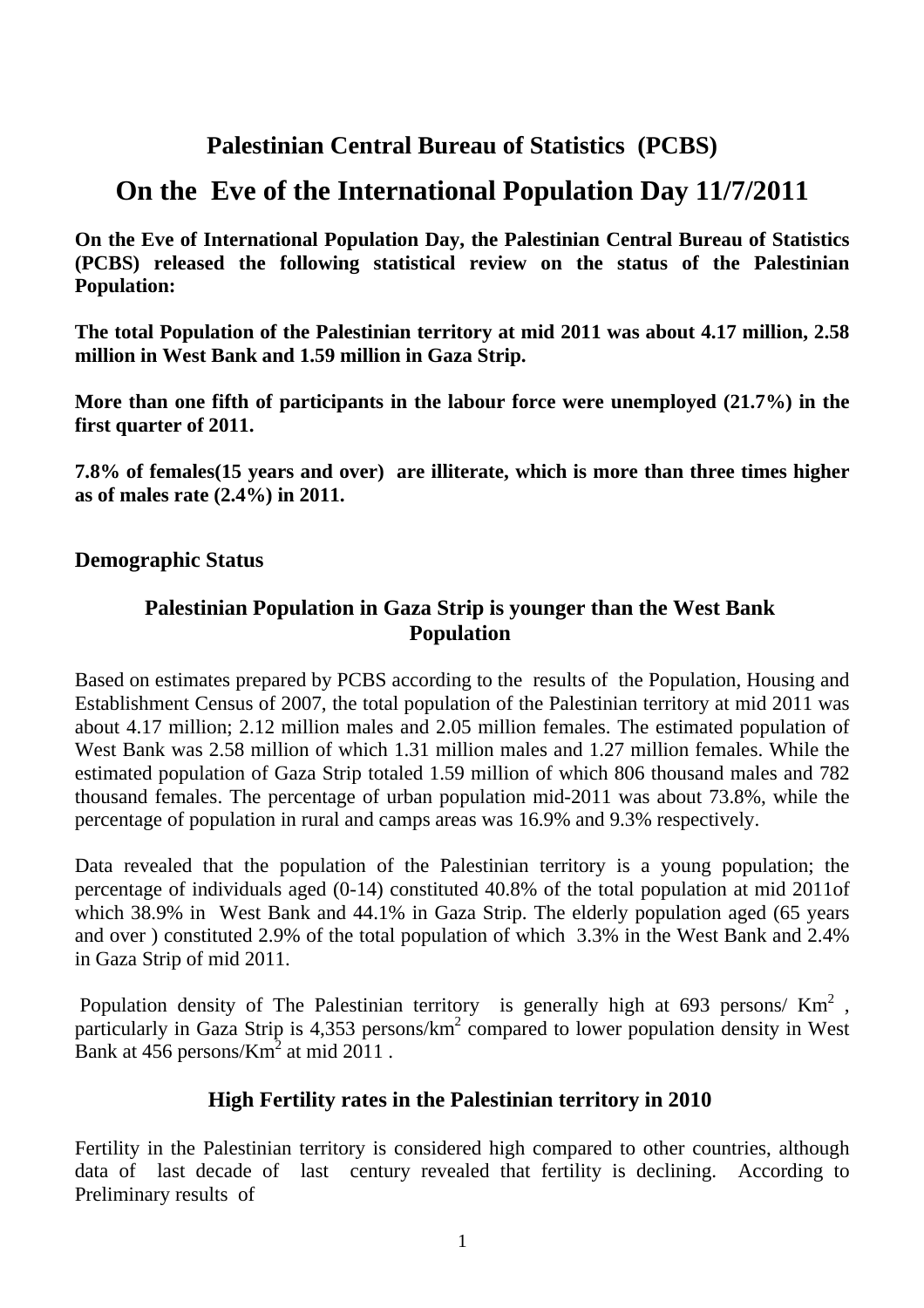## **Palestinian Central Bureau of Statistics (PCBS)**

# **On the Eve of the International Population Day 11/7/2011**

**On the Eve of International Population Day, the Palestinian Central Bureau of Statistics (PCBS) released the following statistical review on the status of the Palestinian Population:** 

**The total Population of the Palestinian territory at mid 2011 was about 4.17 million, 2.58 million in West Bank and 1.59 million in Gaza Strip.** 

**More than one fifth of participants in the labour force were unemployed (21.7%) in the first quarter of 2011.** 

**7.8% of females(15 years and over) are illiterate, which is more than three times higher as of males rate (2.4%) in 2011.** 

## **Demographic Status**

## **Palestinian Population in Gaza Strip is younger than the West Bank Population**

Based on estimates prepared by PCBS according to the results of the Population, Housing and Establishment Census of 2007, the total population of the Palestinian territory at mid 2011 was about 4.17 million; 2.12 million males and 2.05 million females. The estimated population of West Bank was 2.58 million of which 1.31 million males and 1.27 million females. While the estimated population of Gaza Strip totaled 1.59 million of which 806 thousand males and 782 thousand females. The percentage of urban population mid-2011 was about 73.8%, while the percentage of population in rural and camps areas was 16.9% and 9.3% respectively.

Data revealed that the population of the Palestinian territory is a young population; the percentage of individuals aged (0-14) constituted 40.8% of the total population at mid 2011of which 38.9% in West Bank and 44.1% in Gaza Strip. The elderly population aged (65 years and over ) constituted 2.9% of the total population of which 3.3% in the West Bank and 2.4% in Gaza Strip of mid 2011.

Population density of The Palestinian territory is generally high at  $693$  persons/ Km<sup>2</sup>, particularly in Gaza Strip is 4,353 persons/km<sup>2</sup> compared to lower population density in West Bank at  $\frac{456}{9}$  persons/Km<sup>2</sup> at mid 2011.

## **High Fertility rates in the Palestinian territory in 2010**

Fertility in the Palestinian territory is considered high compared to other countries, although data of last decade of last century revealed that fertility is declining. According to Preliminary results of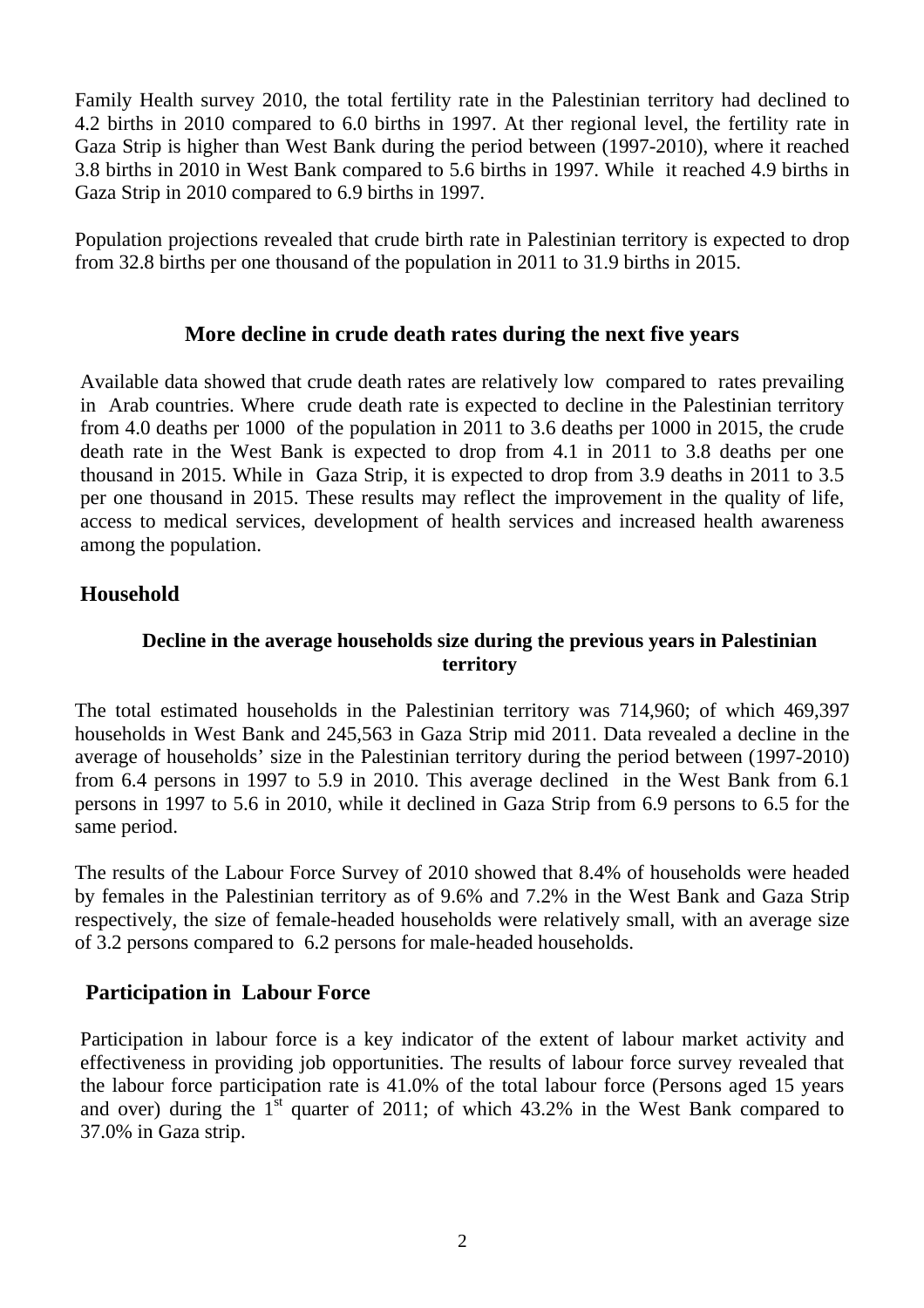Family Health survey 2010, the total fertility rate in the Palestinian territory had declined to 4.2 births in 2010 compared to 6.0 births in 1997. At ther regional level, the fertility rate in Gaza Strip is higher than West Bank during the period between (1997-2010), where it reached 3.8 births in 2010 in West Bank compared to 5.6 births in 1997. While it reached 4.9 births in Gaza Strip in 2010 compared to 6.9 births in 1997.

Population projections revealed that crude birth rate in Palestinian territory is expected to drop from 32.8 births per one thousand of the population in 2011 to 31.9 births in 2015.

#### **More decline in crude death rates during the next five years**

Available data showed that crude death rates are relatively low compared to rates prevailing in Arab countries. Where crude death rate is expected to decline in the Palestinian territory from 4.0 deaths per 1000 of the population in 2011 to 3.6 deaths per 1000 in 2015, the crude death rate in the West Bank is expected to drop from 4.1 in 2011 to 3.8 deaths per one thousand in 2015. While in Gaza Strip, it is expected to drop from 3.9 deaths in 2011 to 3.5 per one thousand in 2015. These results may reflect the improvement in the quality of life, access to medical services, development of health services and increased health awareness among the population.

#### **Household**

#### **Decline in the average households size during the previous years in Palestinian territory**

The total estimated households in the Palestinian territory was 714,960; of which 469,397 households in West Bank and 245,563 in Gaza Strip mid 2011. Data revealed a decline in the average of households' size in the Palestinian territory during the period between (1997-2010) from 6.4 persons in 1997 to 5.9 in 2010. This average declined in the West Bank from 6.1 persons in 1997 to 5.6 in 2010, while it declined in Gaza Strip from 6.9 persons to 6.5 for the same period.

The results of the Labour Force Survey of 2010 showed that 8.4% of households were headed by females in the Palestinian territory as of 9.6% and 7.2% in the West Bank and Gaza Strip respectively, the size of female-headed households were relatively small, with an average size of 3.2 persons compared to 6.2 persons for male-headed households.

## **Participation in Labour Force**

Participation in labour force is a key indicator of the extent of labour market activity and effectiveness in providing job opportunities. The results of labour force survey revealed that the labour force participation rate is 41.0% of the total labour force (Persons aged 15 years and over) during the  $1<sup>st</sup>$  quarter of 2011; of which 43.2% in the West Bank compared to 37.0% in Gaza strip.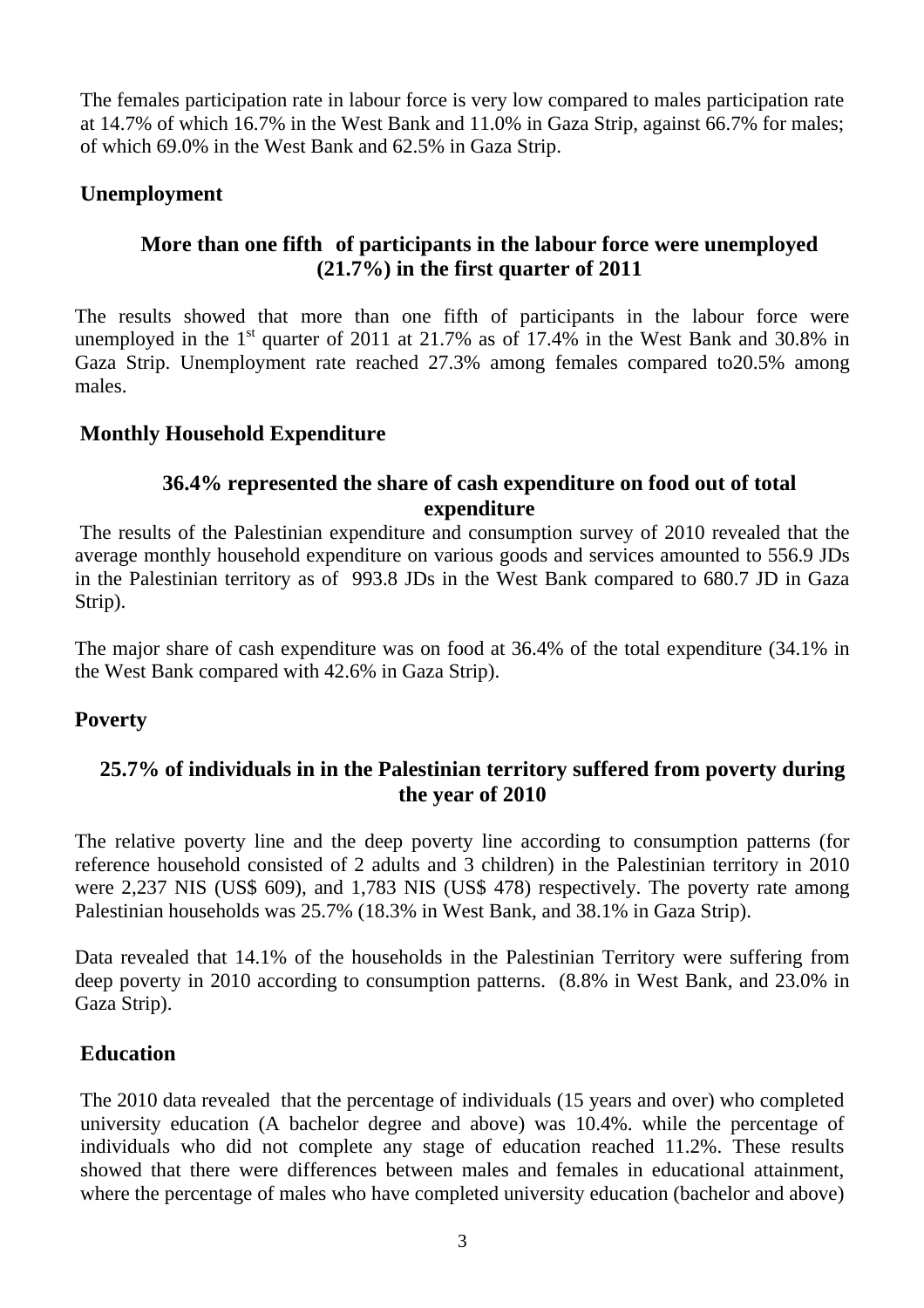The females participation rate in labour force is very low compared to males participation rate at 14.7% of which 16.7% in the West Bank and 11.0% in Gaza Strip, against 66.7% for males; of which 69.0% in the West Bank and 62.5% in Gaza Strip.

## **Unemployment**

## **More than one fifth of participants in the labour force were unemployed (21.7%) in the first quarter of 2011**

The results showed that more than one fifth of participants in the labour force were unemployed in the  $1<sup>st</sup>$  quarter of 2011 at 21.7% as of 17.4% in the West Bank and 30.8% in Gaza Strip. Unemployment rate reached 27.3% among females compared to20.5% among males.

## **Monthly Household Expenditure**

## **36.4% represented the share of cash expenditure on food out of total expenditure**

The results of the Palestinian expenditure and consumption survey of 2010 revealed that the average monthly household expenditure on various goods and services amounted to 556.9 JDs in the Palestinian territory as of 993.8 JDs in the West Bank compared to 680.7 JD in Gaza Strip).

The major share of cash expenditure was on food at 36.4% of the total expenditure (34.1% in the West Bank compared with 42.6% in Gaza Strip).

## **Poverty**

## **25.7% of individuals in in the Palestinian territory suffered from poverty during the year of 2010**

The relative poverty line and the deep poverty line according to consumption patterns (for reference household consisted of 2 adults and 3 children) in the Palestinian territory in 2010 were 2,237 NIS (US\$ 609), and 1,783 NIS (US\$ 478) respectively. The poverty rate among Palestinian households was 25.7% (18.3% in West Bank, and 38.1% in Gaza Strip).

Data revealed that 14.1% of the households in the Palestinian Territory were suffering from deep poverty in 2010 according to consumption patterns. (8.8% in West Bank, and 23.0% in Gaza Strip).

## **Education**

The 2010 data revealed that the percentage of individuals (15 years and over) who completed university education (A bachelor degree and above) was 10.4%. while the percentage of individuals who did not complete any stage of education reached 11.2%. These results showed that there were differences between males and females in educational attainment, where the percentage of males who have completed university education (bachelor and above)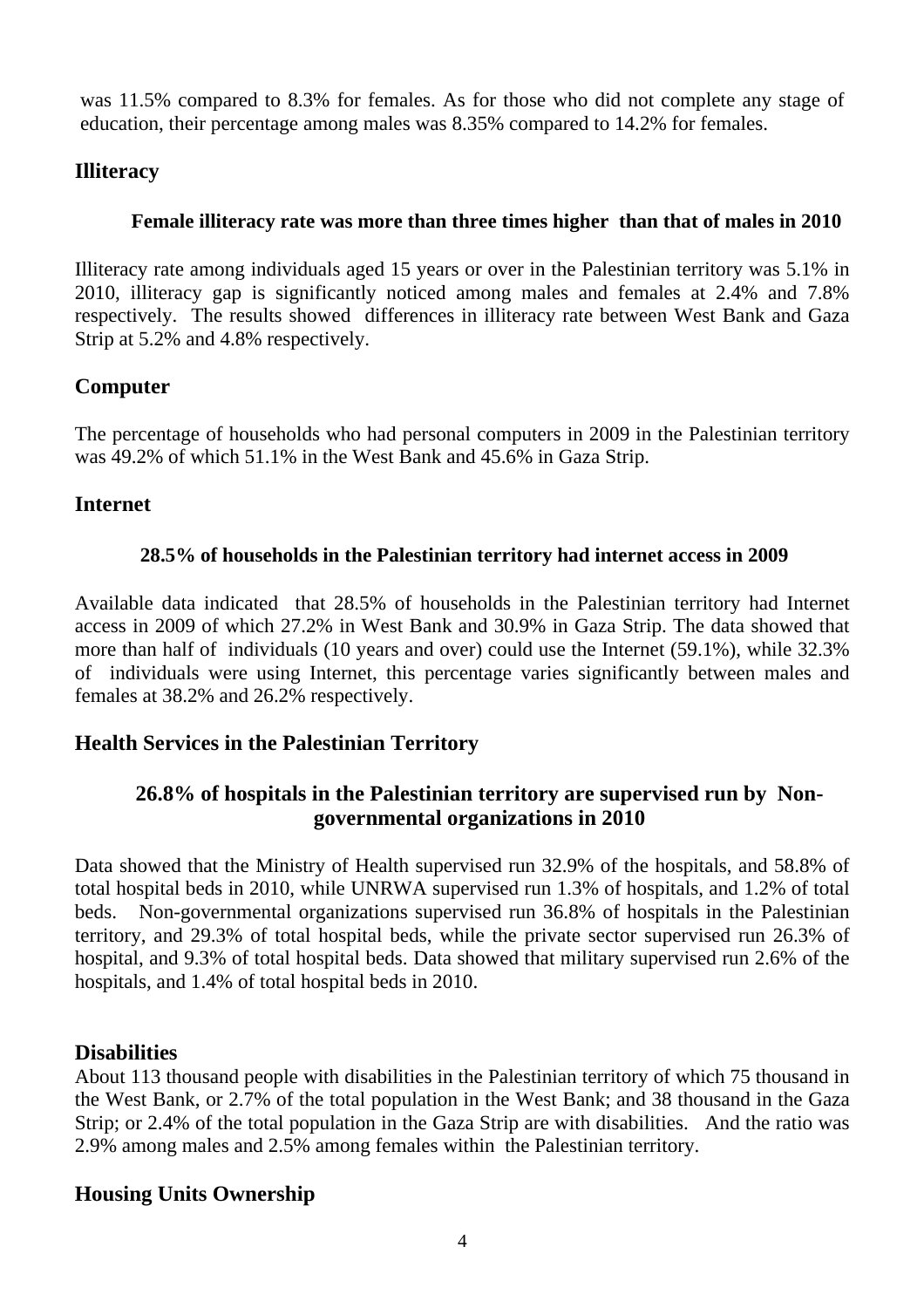was 11.5% compared to 8.3% for females. As for those who did not complete any stage of education, their percentage among males was 8.35% compared to 14.2% for females.

## **Illiteracy**

#### **Female illiteracy rate was more than three times higher than that of males in 2010**

Illiteracy rate among individuals aged 15 years or over in the Palestinian territory was 5.1% in 2010, illiteracy gap is significantly noticed among males and females at 2.4% and 7.8% respectively. The results showed differences in illiteracy rate between West Bank and Gaza Strip at 5.2% and 4.8% respectively.

## **Computer**

The percentage of households who had personal computers in 2009 in the Palestinian territory was 49.2% of which 51.1% in the West Bank and 45.6% in Gaza Strip.

## **Internet**

## **28.5% of households in the Palestinian territory had internet access in 2009**

Available data indicated that 28.5% of households in the Palestinian territory had Internet access in 2009 of which 27.2% in West Bank and 30.9% in Gaza Strip. The data showed that more than half of individuals (10 years and over) could use the Internet (59.1%), while 32.3% of individuals were using Internet, this percentage varies significantly between males and females at 38.2% and 26.2% respectively.

## **Health Services in the Palestinian Territory**

## **26.8% of hospitals in the Palestinian territory are supervised run by Nongovernmental organizations in 2010**

Data showed that the Ministry of Health supervised run 32.9% of the hospitals, and 58.8% of total hospital beds in 2010, while UNRWA supervised run 1.3% of hospitals, and 1.2% of total beds. Non-governmental organizations supervised run 36.8% of hospitals in the Palestinian territory, and 29.3% of total hospital beds, while the private sector supervised run 26.3% of hospital, and 9.3% of total hospital beds. Data showed that military supervised run 2.6% of the hospitals, and 1.4% of total hospital beds in 2010.

## **Disabilities**

About 113 thousand people with disabilities in the Palestinian territory of which 75 thousand in the West Bank, or 2.7% of the total population in the West Bank; and 38 thousand in the Gaza Strip; or 2.4% of the total population in the Gaza Strip are with disabilities. And the ratio was 2.9% among males and 2.5% among females within the Palestinian territory.

## **Housing Units Ownership**